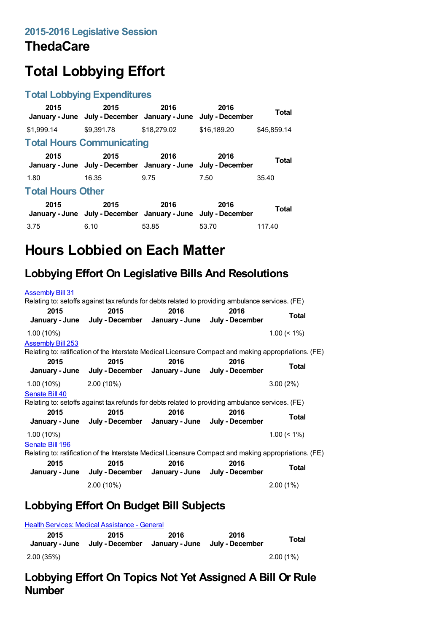### **ThedaCare**

# **Total Lobbying Effort**

#### **Total Lobbying Expenditures**

| 2015                             | 2015<br>January - June July - December January - June                 | 2016        | 2016<br>July - December | Total        |
|----------------------------------|-----------------------------------------------------------------------|-------------|-------------------------|--------------|
| \$1.999.14                       | \$9,391.78                                                            | \$18,279.02 | \$16,189.20             | \$45.859.14  |
| <b>Total Hours Communicating</b> |                                                                       |             |                         |              |
| 2015                             | 2015<br>January - June July - December January - June July - December | 2016        | 2016                    | <b>Total</b> |
| 1.80                             | 16.35                                                                 | 9.75        | 7.50                    | 35.40        |
| <b>Total Hours Other</b>         |                                                                       |             |                         |              |
| 2015                             | 2015<br>January - June July - December January - June July - December | 2016        | 2016                    | <b>Total</b> |
| 3.75                             | 6.10                                                                  | 53.85       | 53.70                   | 117.40       |

## **Hours Lobbied on Each Matter**

### **Lobbying Effort On Legislative Bills And Resolutions**

| <b>Assembly Bill 31</b>  |                                                                                                       |      |      |                |
|--------------------------|-------------------------------------------------------------------------------------------------------|------|------|----------------|
|                          | Relating to: setoffs against tax refunds for debts related to providing ambulance services. (FE)      |      |      |                |
| 2015                     | 2015                                                                                                  | 2016 | 2016 | Total          |
|                          | January - June July - December January - June July - December                                         |      |      |                |
| $1.00(10\%)$             |                                                                                                       |      |      | $1.00 \le 1\%$ |
| <b>Assembly Bill 253</b> |                                                                                                       |      |      |                |
|                          | Relating to: ratification of the Interstate Medical Licensure Compact and making appropriations. (FE) |      |      |                |
| 2015                     | 2015<br>January - June July - December January - June July - December                                 | 2016 | 2016 | <b>Total</b>   |
| $1.00(10\%)$ 2.00 (10%)  |                                                                                                       |      |      | 3.00(2%)       |
| Senate Bill 40           |                                                                                                       |      |      |                |
|                          | Relating to: setoffs against tax refunds for debts related to providing ambulance services. (FE)      |      |      |                |
| 2015                     | 2015                                                                                                  | 2016 | 2016 |                |
|                          | January - June July - December January - June July - December                                         |      |      | Total          |
| $1.00(10\%)$             |                                                                                                       |      |      | $1.00 \le 1\%$ |
| Senate Bill 196          |                                                                                                       |      |      |                |
|                          | Relating to: ratification of the Interstate Medical Licensure Compact and making appropriations. (FE) |      |      |                |
| 2015                     | 2015                                                                                                  | 2016 | 2016 |                |
|                          | January - June July - December January - June July - December                                         |      |      | Total          |
|                          | 2.00 (10%)                                                                                            |      |      | $2.00(1\%)$    |

### **Lobbying Effort On Budget Bill Subjects**

|                        | <b>Health Services: Medical Assistance - General</b> |      |                                        |             |
|------------------------|------------------------------------------------------|------|----------------------------------------|-------------|
| 2015<br>January - June | 2015<br>July - December                              | 2016 | 2016<br>January - June July - December | Total       |
| 2.00 (35%)             |                                                      |      |                                        | $2.00(1\%)$ |

#### **Lobbying Effort On Topics Not Yet Assigned A Bill Or Rule Number**